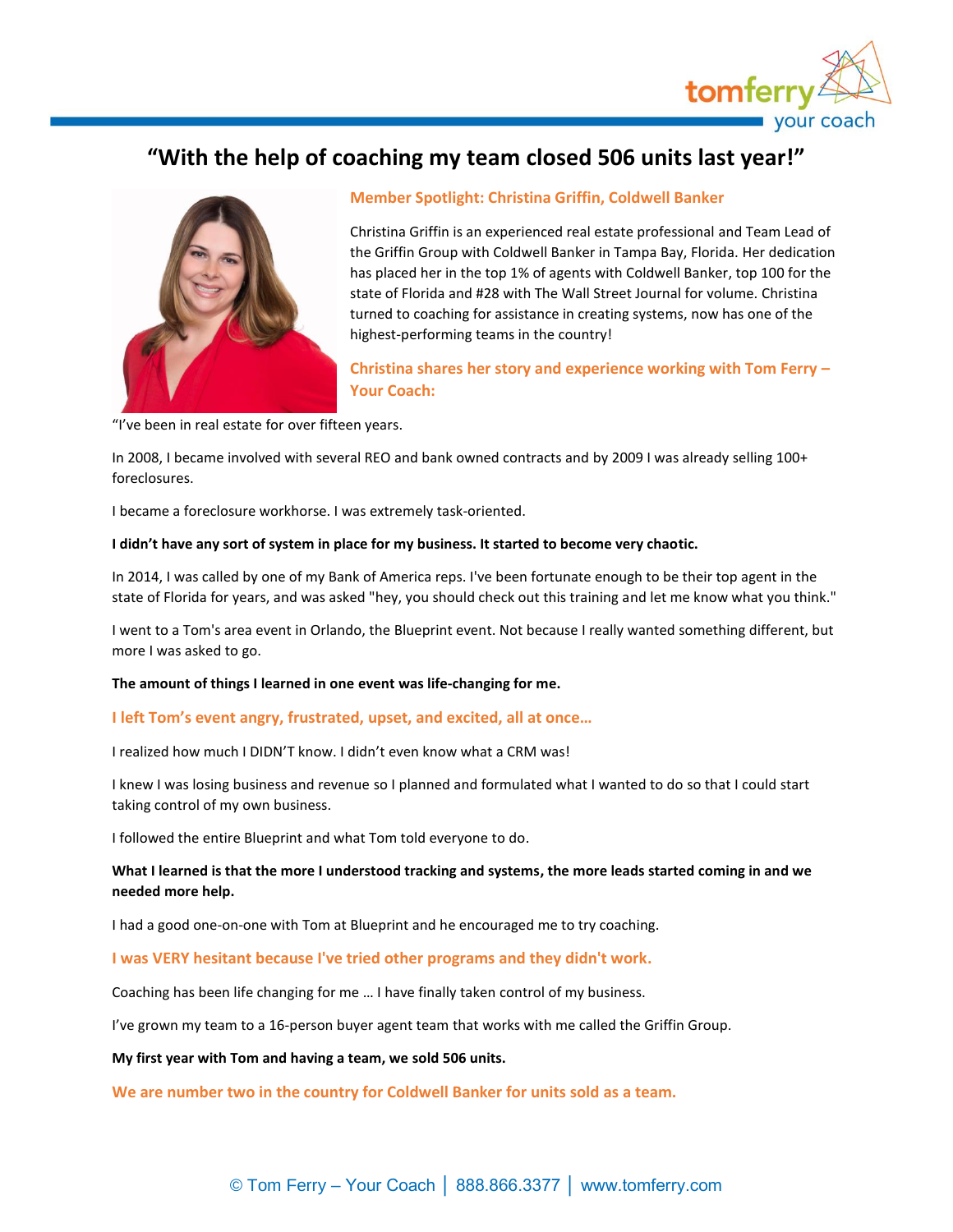

# **"With the help of coaching my team closed 506 units last year!"**



# **Member Spotlight: Christina Griffin, Coldwell Banker**

Christina Griffin is an experienced real estate professional and Team Lead of the Griffin Group with Coldwell Banker in Tampa Bay, Florida. Her dedication has placed her in the top 1% of agents with Coldwell Banker, top 100 for the state of Florida and #28 with The Wall Street Journal for volume. Christina turned to coaching for assistance in creating systems, now has one of the highest-performing teams in the country!

**Christina shares her story and experience working with Tom Ferry – Your Coach:**

"I've been in real estate for over fifteen years.

In 2008, I became involved with several REO and bank owned contracts and by 2009 I was already selling 100+ foreclosures.

I became a foreclosure workhorse. I was extremely task-oriented.

## **I didn't have any sort of system in place for my business. It started to become very chaotic.**

In 2014, I was called by one of my Bank of America reps. I've been fortunate enough to be their top agent in the state of Florida for years, and was asked "hey, you should check out this training and let me know what you think."

I went to a Tom's area event in Orlando, the Blueprint event. Not because I really wanted something different, but more I was asked to go.

**The amount of things I learned in one event was life-changing for me.**

## **I left Tom's event angry, frustrated, upset, and excited, all at once…**

I realized how much I DIDN'T know. I didn't even know what a CRM was!

I knew I was losing business and revenue so I planned and formulated what I wanted to do so that I could start taking control of my own business.

I followed the entire Blueprint and what Tom told everyone to do.

# **What I learned is that the more I understood tracking and systems, the more leads started coming in and we needed more help.**

I had a good one-on-one with Tom at Blueprint and he encouraged me to try coaching.

**I was VERY hesitant because I've tried other programs and they didn't work.**

Coaching has been life changing for me … I have finally taken control of my business.

I've grown my team to a 16-person buyer agent team that works with me called the Griffin Group.

**My first year with Tom and having a team, we sold 506 units.**

**We are number two in the country for Coldwell Banker for units sold as a team.**